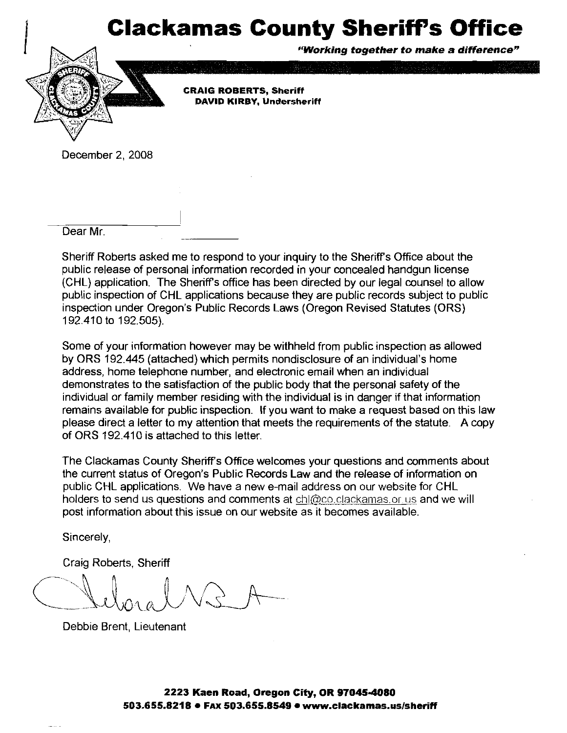## **Clackamas County Sheriff's Office**



December 2, 2008

.<br>Dear Mr.

Sheriff Roberts asked me to respond to your inquiry to the Sheriffs Ofice about the public release of personal information recorded in your concealed handgun license (CHL) application. The Sheriffs office has been directed by our legal counsel to allow public inspection of CHL applications because they are public records subject to public inspection under Oregon's Public Records Laws (Oregon Revised Statutes (ORS) 192.410 to 192.505).

Some of your information however may be withheld from public inspection as allowed by ORS 192.445 (attached) which permits nondisclosure of an individual's home address, home telephone number, and electronic email when an individual demonstrates to the satisfaction of the public body that the personal safety of the individual or family member residing with the individual is in danger if that information remains available for public inspection. If you want to make a request based on this law please direct a letter to my attention that meets the requirements of the statute. A copy of ORS 192.410 is attached to this letter.

The Clackamas County Sheriffs Office welcomes your questions and comments about the current status of Oregon's Public Records Law and the release of information on public CHL applications. We have a new e-mail address on our website for CHL holders to send us questions and comments at  $ch@co. cleckamas.$ or us and we will post information about this issue on our website as it becomes available.

Sincerely,

Craig Roberts, Sheriff

Debbie Brent, Lieutenant